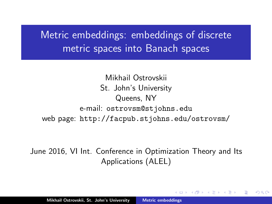Metric embeddings: embeddings of discrete metric spaces into Banach spaces

Mikhail Ostrovskii St. John's University Queens, NY e-mail: ostrovsm@stjohns.edu web page: http://facpub.stjohns.edu/ostrovsm/

<span id="page-0-0"></span>June 2016, VI Int. Conference in Optimization Theory and Its Applications (ALEL)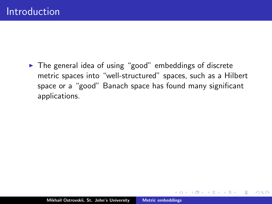$\triangleright$  The general idea of using "good" embeddings of discrete metric spaces into "well-structured" spaces, such as a Hilbert space or a "good" Banach space has found many significant applications.

 $2Q$ 

A.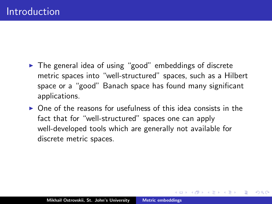- $\blacktriangleright$  The general idea of using "good" embeddings of discrete metric spaces into "well-structured" spaces, such as a Hilbert space or a "good" Banach space has found many significant applications.
- $\triangleright$  One of the reasons for usefulness of this idea consists in the fact that for "well-structured" spaces one can apply well-developed tools which are generally not available for discrete metric spaces.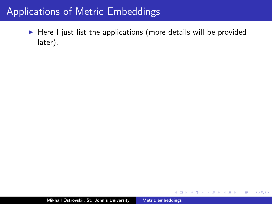$\blacktriangleright$  Here I just list the applications (more details will be provided later).

 $4.171 +$ 

 $\Box$ 

3 로

 $2Q$ 

扂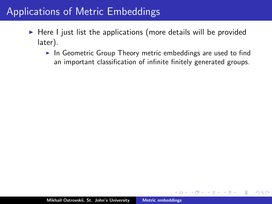- $\blacktriangleright$  Here I just list the applications (more details will be provided later).
	- $\triangleright$  In Geometric Group Theory metric embeddings are used to find an important classification of infinite finitely generated groups.

 $2Q$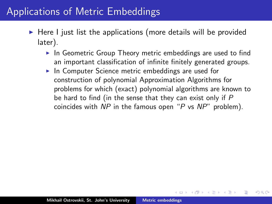- $\triangleright$  Here I just list the applications (more details will be provided later).
	- $\triangleright$  In Geometric Group Theory metric embeddings are used to find an important classification of infinite finitely generated groups.
	- $\blacktriangleright$  In Computer Science metric embeddings are used for construction of polynomial Approximation Algorithms for problems for which (exact) polynomial algorithms are known to be hard to find (in the sense that they can exist only if P coincides with NP in the famous open "P vs NP" problem).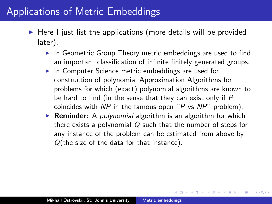- $\triangleright$  Here I just list the applications (more details will be provided later).
	- $\triangleright$  In Geometric Group Theory metric embeddings are used to find an important classification of infinite finitely generated groups.
	- $\blacktriangleright$  In Computer Science metric embeddings are used for construction of polynomial Approximation Algorithms for problems for which (exact) polynomial algorithms are known to be hard to find (in the sense that they can exist only if P coincides with  $NP$  in the famous open "P vs  $NP$ " problem).
	- **Reminder:** A *polynomial* algorithm is an algorithm for which there exists a polynomial Q such that the number of steps for any instance of the problem can be estimated from above by Q(the size of the data for that instance).

 $4.57 + 4.77 +$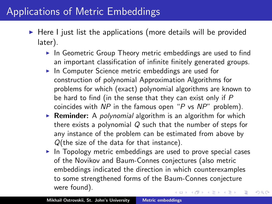- $\triangleright$  Here I just list the applications (more details will be provided later).
	- $\blacktriangleright$  In Geometric Group Theory metric embeddings are used to find an important classification of infinite finitely generated groups.
	- $\blacktriangleright$  In Computer Science metric embeddings are used for construction of polynomial Approximation Algorithms for problems for which (exact) polynomial algorithms are known to be hard to find (in the sense that they can exist only if P coincides with NP in the famous open "P vs NP" problem).
	- **Reminder:** A *polynomial* algorithm is an algorithm for which there exists a polynomial Q such that the number of steps for any instance of the problem can be estimated from above by Q(the size of the data for that instance).
	- $\triangleright$  In Topology metric embeddings are used to prove special cases of the Novikov and Baum-Connes conjectures (also metric embeddings indicated the direction in which counterexamples to some strengthened forms of the Baum-Connes conjecture were found). **K ロ ト K 何 ト K ミ ト**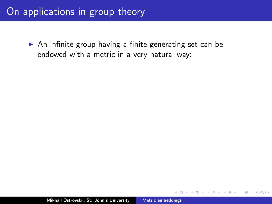## On applications in group theory

 $\triangleright$  An infinite group having a finite generating set can be endowed with a metric in a very natural way:

 $\leftarrow$   $\Box$ 

 $2Q$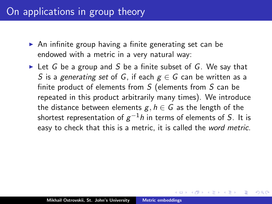## On applications in group theory

- $\triangleright$  An infinite group having a finite generating set can be endowed with a metric in a very natural way:
- In Let G be a group and S be a finite subset of G. We say that S is a generating set of G, if each  $g \in G$  can be written as a finite product of elements from S (elements from S can be repeated in this product arbitrarily many times). We introduce the distance between elements  $g, h \in G$  as the length of the shortest representation of  $\rm g^{-1}$ h in terms of elements of  $S.$  It is easy to check that this is a metric, it is called the word metric.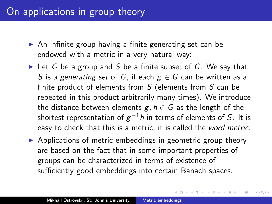### On applications in group theory

- $\triangleright$  An infinite group having a finite generating set can be endowed with a metric in a very natural way:
- In Let G be a group and S be a finite subset of G. We say that S is a generating set of G, if each  $g \in G$  can be written as a finite product of elements from S (elements from S can be repeated in this product arbitrarily many times). We introduce the distance between elements  $g, h \in G$  as the length of the shortest representation of  $\rm g^{-1}$ h in terms of elements of  $S.$  It is easy to check that this is a metric, it is called the word metric.
- $\triangleright$  Applications of metric embeddings in geometric group theory are based on the fact that in some important properties of groups can be characterized in terms of existence of sufficiently good embeddings into certain Banach spaces.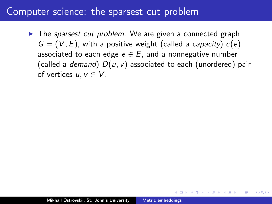$\triangleright$  The sparsest cut problem: We are given a connected graph  $G = (V, E)$ , with a positive weight (called a *capacity*)  $c(e)$ associated to each edge  $e \in E$ , and a nonnegative number (called a *demand*)  $D(u, v)$  associated to each (unordered) pair of vertices  $u, v \in V$ .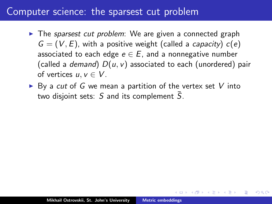- $\triangleright$  The sparsest cut problem: We are given a connected graph  $G = (V, E)$ , with a positive weight (called a *capacity*)  $c(e)$ associated to each edge  $e \in E$ , and a nonnegative number (called a *demand*)  $D(u, v)$  associated to each (unordered) pair of vertices  $u, v \in V$ .
- $\triangleright$  By a cut of G we mean a partition of the vertex set V into two disjoint sets:  $S$  and its complement  $\overline{S}$ .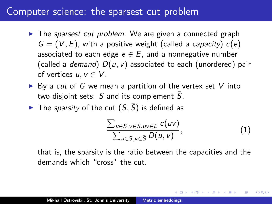- $\triangleright$  The sparsest cut problem: We are given a connected graph  $G = (V, E)$ , with a positive weight (called a *capacity*)  $c(e)$ associated to each edge  $e \in E$ , and a nonnegative number (called a *demand*)  $D(u, v)$  associated to each (unordered) pair of vertices  $u, v \in V$ .
- $\triangleright$  By a cut of G we mean a partition of the vertex set V into two disjoint sets:  $S$  and its complement  $\overline{S}$ .
- The sparsity of the cut  $(S, \bar{S})$  is defined as

$$
\frac{\sum_{u\in S,v\in \bar{S},uv\in E}c(uv)}{\sum_{u\in S,v\in \bar{S}}D(u,v)},\tag{1}
$$

へのへ

that is, the sparsity is the ratio between the capacities and the demands which "cross" the cut.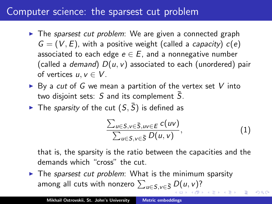- $\triangleright$  The sparsest cut problem: We are given a connected graph  $G = (V, E)$ , with a positive weight (called a *capacity*)  $c(e)$ associated to each edge  $e \in E$ , and a nonnegative number (called a *demand*)  $D(u, v)$  associated to each (unordered) pair of vertices  $u, v \in V$ .
- $\triangleright$  By a cut of G we mean a partition of the vertex set V into two disjoint sets:  $S$  and its complement  $S$ .
- The sparsity of the cut  $(S,\bar{S})$  is defined as

$$
\frac{\sum_{u\in S, v\in \bar{S}, uv\in E} c(uv)}{\sum_{u\in S, v\in \bar{S}} D(u, v)},
$$
\n(1)

へのへ

that is, the sparsity is the ratio between the capacities and the demands which "cross" the cut.

 $\triangleright$  The sparsest cut problem: What is the minimum sparsity among all cuts with nonzero  $\sum_{u\in{\mathsf{S}},v\in{\bar{\mathsf{S}}}}D(u,v)$ ?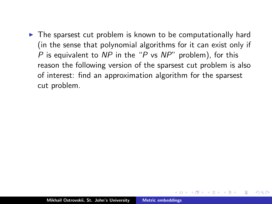$\triangleright$  The sparsest cut problem is known to be computationally hard (in the sense that polynomial algorithms for it can exist only if P is equivalent to NP in the "P vs  $NP$ " problem), for this reason the following version of the sparsest cut problem is also of interest: find an approximation algorithm for the sparsest cut problem.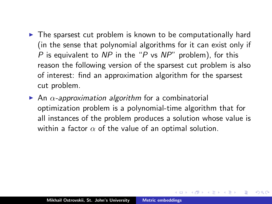- $\triangleright$  The sparsest cut problem is known to be computationally hard (in the sense that polynomial algorithms for it can exist only if P is equivalent to NP in the "P vs  $NP$ " problem), for this reason the following version of the sparsest cut problem is also of interest: find an approximation algorithm for the sparsest cut problem.
- An  $\alpha$ -approximation algorithm for a combinatorial optimization problem is a polynomial-time algorithm that for all instances of the problem produces a solution whose value is within a factor  $\alpha$  of the value of an optimal solution.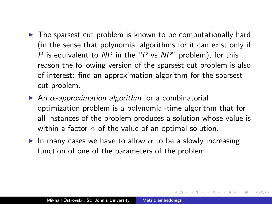- $\triangleright$  The sparsest cut problem is known to be computationally hard (in the sense that polynomial algorithms for it can exist only if P is equivalent to NP in the "P vs  $NP$ " problem), for this reason the following version of the sparsest cut problem is also of interest: find an approximation algorithm for the sparsest cut problem.
- An  $\alpha$ -approximation algorithm for a combinatorial optimization problem is a polynomial-time algorithm that for all instances of the problem produces a solution whose value is within a factor  $\alpha$  of the value of an optimal solution.
- In many cases we have to allow  $\alpha$  to be a slowly increasing function of one of the parameters of the problem.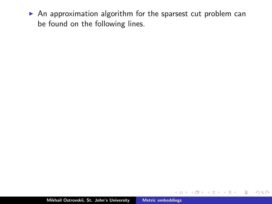$\triangleright$  An approximation algorithm for the sparsest cut problem can be found on the following lines.

a mills.

4 A 6 4 F 6

重

3 로

 $2Q$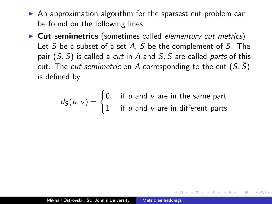- $\triangleright$  An approximation algorithm for the sparsest cut problem can be found on the following lines.
- $\triangleright$  Cut semimetrics (sometimes called elementary cut metrics) Let S be a subset of a set A,  $\overline{S}$  be the complement of S. The pair  $(S, \overline{S})$  is called a *cut* in A and  $S, \overline{S}$  are called *parts* of this cut. The *cut semimetric* on A corresponding to the cut  $(S, \overline{S})$ is defined by

$$
d_S(u, v) = \begin{cases} 0 & \text{if } u \text{ and } v \text{ are in the same part} \\ 1 & \text{if } u \text{ and } v \text{ are in different parts} \end{cases}
$$

∽≏ດ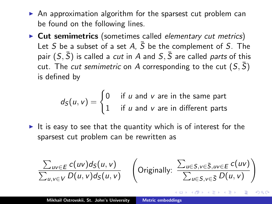- $\triangleright$  An approximation algorithm for the sparsest cut problem can be found on the following lines.
- $\triangleright$  Cut semimetrics (sometimes called elementary cut metrics) Let S be a subset of a set A,  $\bar{S}$  be the complement of S. The pair  $(S, \overline{S})$  is called a *cut* in A and  $S, \overline{S}$  are called *parts* of this cut. The *cut semimetric* on A corresponding to the cut  $(S, \bar{S})$ is defined by

 $d_S(u, v) = \begin{cases} 0 & \text{if } u \text{ and } v \text{ are in the same part} \\ 1 & \text{if } u \text{ and } v \text{ are in different order.} \end{cases}$ 1 if  $u$  and  $v$  are in different parts

It is easy to see that the quantity which is of interest for the sparsest cut problem can be rewritten as

$$
\frac{\sum_{uv \in E} c(uv) d_S(u, v)}{\sum_{u,v \in V} D(u,v) d_S(u,v)} \quad \left(\text{Originally: } \frac{\sum_{u \in S, v \in \bar{S}, uv \in E} c(uv)}{\sum_{u \in S, v \in \bar{S}} D(u,v)}\right)
$$

∽≏ດ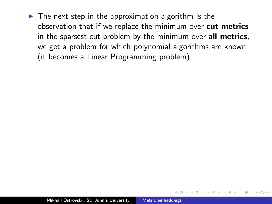$\triangleright$  The next step in the approximation algorithm is the observation that if we replace the minimum over cut metrics in the sparsest cut problem by the minimum over all metrics, we get a problem for which polynomial algorithms are known (it becomes a Linear Programming problem).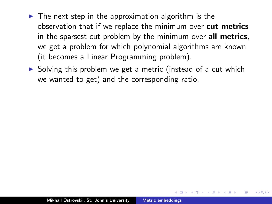- $\triangleright$  The next step in the approximation algorithm is the observation that if we replace the minimum over cut metrics in the sparsest cut problem by the minimum over all metrics, we get a problem for which polynomial algorithms are known (it becomes a Linear Programming problem).
- $\triangleright$  Solving this problem we get a metric (instead of a cut which we wanted to get) and the corresponding ratio.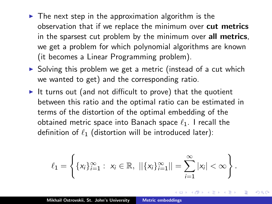- $\triangleright$  The next step in the approximation algorithm is the observation that if we replace the minimum over cut metrics in the sparsest cut problem by the minimum over all metrics, we get a problem for which polynomial algorithms are known (it becomes a Linear Programming problem).
- $\triangleright$  Solving this problem we get a metric (instead of a cut which we wanted to get) and the corresponding ratio.
- It turns out (and not difficult to prove) that the quotient between this ratio and the optimal ratio can be estimated in terms of the distortion of the optimal embedding of the obtained metric space into Banach space  $\ell_1$ . I recall the definition of  $\ell_1$  (distortion will be introduced later):

$$
\ell_1 = \left\{ \{x_i\}_{i=1}^{\infty} : \ x_i \in \mathbb{R}, \ ||\{x_i\}_{i=1}^{\infty}|| = \sum_{i=1}^{\infty} |x_i| < \infty \right\}.
$$

つくい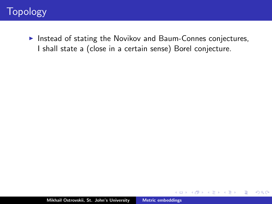Instead of stating the Novikov and Baum-Connes conjectures, I shall state a (close in a certain sense) Borel conjecture.

 $\leftarrow$   $\Box$ 

A

 $2Q$ 

≣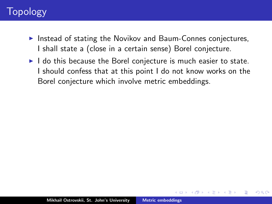- $\triangleright$  Instead of stating the Novikov and Baum-Connes conjectures, I shall state a (close in a certain sense) Borel conjecture.
- $\blacktriangleright$  I do this because the Borel conjecture is much easier to state. I should confess that at this point I do not know works on the Borel conjecture which involve metric embeddings.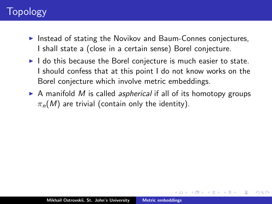- $\triangleright$  Instead of stating the Novikov and Baum-Connes conjectures, I shall state a (close in a certain sense) Borel conjecture.
- $\blacktriangleright$  I do this because the Borel conjecture is much easier to state. I should confess that at this point I do not know works on the Borel conjecture which involve metric embeddings.
- $\triangleright$  A manifold M is called *aspherical* if all of its homotopy groups  $\pi_n(M)$  are trivial (contain only the identity).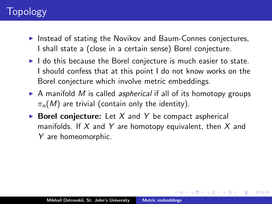- $\triangleright$  Instead of stating the Novikov and Baum-Connes conjectures, I shall state a (close in a certain sense) Borel conjecture.
- $\blacktriangleright$  I do this because the Borel conjecture is much easier to state. I should confess that at this point I do not know works on the Borel conjecture which involve metric embeddings.
- $\triangleright$  A manifold M is called *aspherical* if all of its homotopy groups  $\pi_n(M)$  are trivial (contain only the identity).
- $\triangleright$  Borel conjecture: Let X and Y be compact aspherical manifolds. If X and Y are homotopy equivalent, then X and Y are homeomorphic.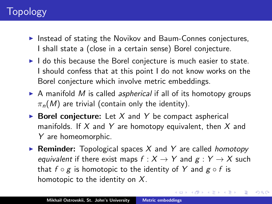- $\triangleright$  Instead of stating the Novikov and Baum-Connes conjectures, I shall state a (close in a certain sense) Borel conjecture.
- $\blacktriangleright$  I do this because the Borel conjecture is much easier to state. I should confess that at this point I do not know works on the Borel conjecture which involve metric embeddings.
- $\triangleright$  A manifold M is called *aspherical* if all of its homotopy groups  $\pi_n(M)$  are trivial (contain only the identity).
- $\triangleright$  Borel conjecture: Let X and Y be compact aspherical manifolds. If X and Y are homotopy equivalent, then X and Y are homeomorphic.
- **Reminder:** Topological spaces X and Y are called *homotopy* equivalent if there exist maps  $f : X \rightarrow Y$  and  $g : Y \rightarrow X$  such that  $f \circ g$  is homotopic to the identity of Y and  $g \circ f$  is homotopic to the identity on  $X$ .

イロメ イ御メ イヨメ イヨメ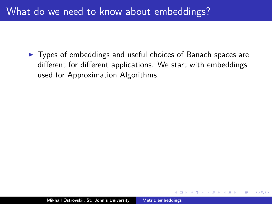## What do we need to know about embeddings?

<span id="page-29-0"></span> $\triangleright$  Types of embeddings and useful choices of Banach spaces are different for different applications. We start with embeddings used for Approximation Algorithms.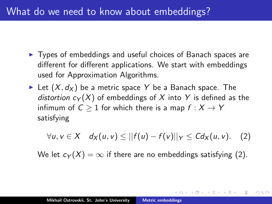## What do we need to know about embeddings?

- $\triangleright$  Types of embeddings and useful choices of Banach spaces are different for different applications. We start with embeddings used for Approximation Algorithms.
- Eet  $(X, d_X)$  be a metric space Y be a Banach space. The distortion  $c_Y(X)$  of embeddings of X into Y is defined as the infimum of  $C \geq 1$  for which there is a map  $f : X \to Y$ satisfying

$$
\forall u, v \in X \quad d_X(u, v) \leq ||f(u) - f(v)||_Y \leq C d_X(u, v). \quad (2)
$$

へのへ

We let  $c_Y(X) = \infty$  if there are no embeddings satisfying [\(2\)](#page-29-0).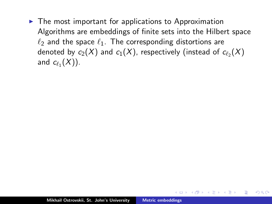$\triangleright$  The most important for applications to Approximation Algorithms are embeddings of finite sets into the Hilbert space  $\ell_2$  and the space  $\ell_1$ . The corresponding distortions are denoted by  $c_2(X)$  and  $c_1(X)$ , respectively (instead of  $c_{\ell_2}(X)$ and  $c_{\ell_1}(X)$ ).

 $\Omega$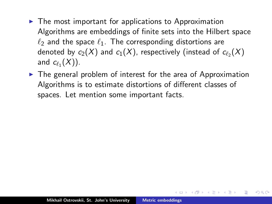- $\triangleright$  The most important for applications to Approximation Algorithms are embeddings of finite sets into the Hilbert space  $\ell_2$  and the space  $\ell_1$ . The corresponding distortions are denoted by  $c_2(X)$  and  $c_1(X)$ , respectively (instead of  $c_{\ell_2}(X)$ and  $c_{\ell_1}(X)$ ).
- $\triangleright$  The general problem of interest for the area of Approximation Algorithms is to estimate distortions of different classes of spaces. Let mention some important facts.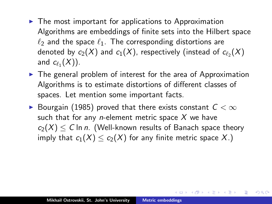- $\triangleright$  The most important for applications to Approximation Algorithms are embeddings of finite sets into the Hilbert space  $\ell_2$  and the space  $\ell_1$ . The corresponding distortions are denoted by  $c_2(X)$  and  $c_1(X)$ , respectively (instead of  $c_{\ell_2}(X)$ and  $c_{\ell_1}(X)$ ).
- $\triangleright$  The general problem of interest for the area of Approximation Algorithms is to estimate distortions of different classes of spaces. Let mention some important facts.
- ▶ Bourgain (1985) proved that there exists constant  $C < \infty$ such that for any *n*-element metric space  $X$  we have  $c_2(X) \le C$  ln n. (Well-known results of Banach space theory imply that  $c_1(X) \leq c_2(X)$  for any finite metric space X.)

 $A \oplus A$  and  $A \oplus A$ 

 $\Omega$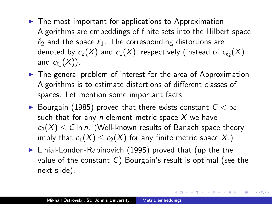- $\triangleright$  The most important for applications to Approximation Algorithms are embeddings of finite sets into the Hilbert space  $\ell_2$  and the space  $\ell_1$ . The corresponding distortions are denoted by  $c_2(X)$  and  $c_1(X)$ , respectively (instead of  $c_{\ell_2}(X)$ and  $c_{\ell_1}(X)$ ).
- $\triangleright$  The general problem of interest for the area of Approximation Algorithms is to estimate distortions of different classes of spaces. Let mention some important facts.
- ▶ Bourgain (1985) proved that there exists constant  $C < \infty$ such that for any *n*-element metric space  $X$  we have  $c_2(X) \le C$  ln n. (Well-known results of Banach space theory imply that  $c_1(X) \leq c_2(X)$  for any finite metric space X.)
- $\blacktriangleright$  Linial-London-Rabinovich (1995) proved that (up the the value of the constant  $C$ ) Bourgain's result is optimal (see the next slide).

イロメ イ部メ イヨメ イヨメー

つくい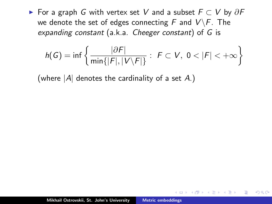► For a graph G with vertex set V and a subset  $F \subset V$  by  $\partial F$ we denote the set of edges connecting F and  $V\backslash F$ . The expanding constant (a.k.a. Cheeger constant) of G is

$$
h(G)=\inf\left\{\frac{|\partial F|}{\min\{|F|,|V\setminus F|\}}:\ F\subset V,\ 0<|F|<+\infty\right\}
$$

 $2Q$ 

(where  $|A|$  denotes the cardinality of a set A.)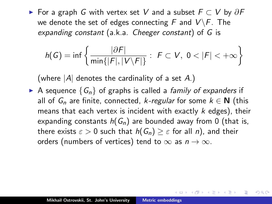► For a graph G with vertex set V and a subset  $F \subset V$  by  $\partial F$ we denote the set of edges connecting F and  $V\backslash F$ . The expanding constant (a.k.a. Cheeger constant) of G is

$$
h(G)=\inf\left\{\frac{|\partial F|}{\min\{|F|,|V\setminus F|\}}:\ F\subset V,\ 0<|F|<+\infty\right\}
$$

(where  $|A|$  denotes the cardinality of a set A.)

A sequence  $\{G_n\}$  of graphs is called a *family of expanders* if all of  $G_n$  are finite, connected, k-regular for some  $k \in \mathbb{N}$  (this means that each vertex is incident with exactly  $k$  edges), their expanding constants  $h(G_n)$  are bounded away from 0 (that is, there exists  $\varepsilon > 0$  such that  $h(G_n) \geq \varepsilon$  for all n), and their orders (numbers of vertices) tend to  $\infty$  as  $n \to \infty$ .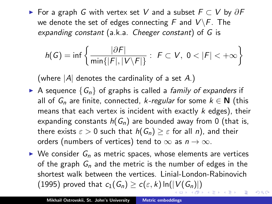► For a graph G with vertex set V and a subset  $F \subset V$  by  $\partial F$ we denote the set of edges connecting F and  $V\backslash F$ . The expanding constant (a.k.a. Cheeger constant) of G is

$$
h(G)=\inf\left\{\frac{|\partial F|}{\min\{|F|,|V\setminus F|\}}:\ F\subset V,\ 0<|F|<+\infty\right\}
$$

(where  $|A|$  denotes the cardinality of a set A.)

- A sequence  $\{G_n\}$  of graphs is called a *family of expanders* if all of  $G_n$  are finite, connected, k-regular for some  $k \in \mathbb{N}$  (this means that each vertex is incident with exactly  $k$  edges), their expanding constants  $h(G_n)$  are bounded away from 0 (that is, there exists  $\varepsilon > 0$  such that  $h(G_n) \geq \varepsilon$  for all n), and their orders (numbers of vertices) tend to  $\infty$  as  $n \to \infty$ .
- $\triangleright$  We consider  $G_n$  as metric spaces, whose elements are vertices of the graph  $G_n$  and the metric is the number of edges in the shortest walk between the vertices. Linial-London-Rabinovich (1995) proved that  $c_1(G_n) \geq c(\varepsilon, k) \ln(|V(G_n)|)$  $c_1(G_n) \geq c(\varepsilon, k) \ln(|V(G_n)|)$  $c_1(G_n) \geq c(\varepsilon, k) \ln(|V(G_n)|)$

つくい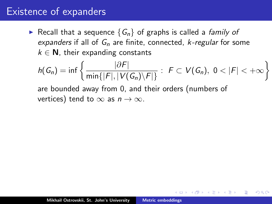#### Existence of expanders

Recall that a sequence  $\{G_n\}$  of graphs is called a *family of* expanders if all of  $G_n$  are finite, connected, *k-regular* for some  $k \in \mathbb{N}$ , their expanding constants

$$
h(G_n)=\inf\left\{\frac{|\partial F|}{\min\{|F|,|V(G_n)\setminus F|\}}:\ F\subset V(G_n),\ 0<|F|<+\infty\right\}
$$

へのへ

are bounded away from 0, and their orders (numbers of vertices) tend to  $\infty$  as  $n \to \infty$ .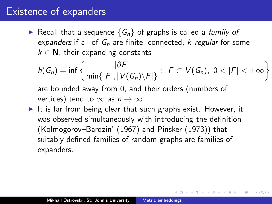#### Existence of expanders

Recall that a sequence  $\{G_n\}$  of graphs is called a *family of* expanders if all of  $G_n$  are finite, connected, *k-regular* for some  $k \in \mathbb{N}$ , their expanding constants

$$
h(G_n)=\inf\left\{\frac{|\partial F|}{\min\{|F|,|V(G_n)\setminus F|\}}:\ F\subset V(G_n),\ 0<|F|<+\infty\right\}
$$

へのへ

are bounded away from 0, and their orders (numbers of vertices) tend to  $\infty$  as  $n \to \infty$ .

It is far from being clear that such graphs exist. However, it was observed simultaneously with introducing the definition (Kolmogorov–Bardzin' (1967) and Pinsker (1973)) that suitably defined families of random graphs are families of expanders.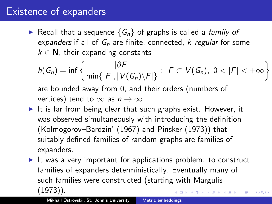## Existence of expanders

Recall that a sequence  $\{G_n\}$  of graphs is called a *family of* expanders if all of  $G_n$  are finite, connected, k-regular for some  $k \in \mathbb{N}$ , their expanding constants

$$
h(G_n)=\inf\left\{\frac{|\partial F|}{\min\{|F|,|V(G_n)\setminus F|\}}:\ F\subset V(G_n),\ 0<|F|<+\infty\right\}
$$

are bounded away from 0, and their orders (numbers of vertices) tend to  $\infty$  as  $n \to \infty$ .

- It is far from being clear that such graphs exist. However, it was observed simultaneously with introducing the definition (Kolmogorov–Bardzin' (1967) and Pinsker (1973)) that suitably defined families of random graphs are families of expanders.
- It was a very important for applications problem: to construct families of expanders deterministically. Eventually many of such families were constructed (starting with Margulis (1973)).

つくい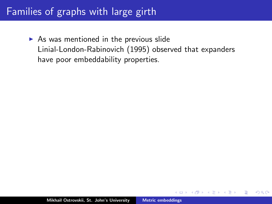$\triangleright$  As was mentioned in the previous slide Linial-London-Rabinovich (1995) observed that expanders have poor embeddability properties.

つくい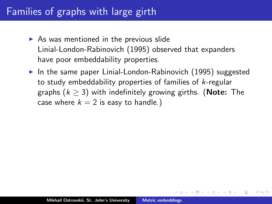- $\triangleright$  As was mentioned in the previous slide Linial-London-Rabinovich (1995) observed that expanders have poor embeddability properties.
- $\triangleright$  In the same paper Linial-London-Rabinovich (1995) suggested to study embeddability properties of families of k-regular graphs ( $k \geq 3$ ) with indefinitely growing girths. (Note: The case where  $k = 2$  is easy to handle.)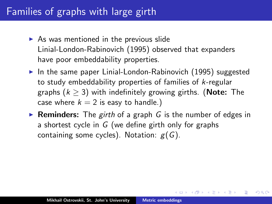- $\triangleright$  As was mentioned in the previous slide Linial-London-Rabinovich (1995) observed that expanders have poor embeddability properties.
- $\triangleright$  In the same paper Linial-London-Rabinovich (1995) suggested to study embeddability properties of families of k-regular graphs ( $k \geq 3$ ) with indefinitely growing girths. (**Note:** The case where  $k = 2$  is easy to handle.)
- **Reminders:** The girth of a graph G is the number of edges in a shortest cycle in  $G$  (we define girth only for graphs containing some cycles). Notation:  $g(G)$ .

∢ ロ ▶ 《 御 ▶ 《 唐 ▶ 》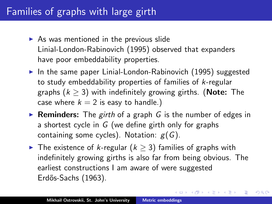- $\triangleright$  As was mentioned in the previous slide Linial-London-Rabinovich (1995) observed that expanders have poor embeddability properties.
- $\triangleright$  In the same paper Linial-London-Rabinovich (1995) suggested to study embeddability properties of families of k-regular graphs ( $k \geq 3$ ) with indefinitely growing girths. (Note: The case where  $k = 2$  is easy to handle.)
- **Reminders:** The girth of a graph G is the number of edges in a shortest cycle in  $G$  (we define girth only for graphs containing some cycles). Notation:  $g(G)$ .
- $\triangleright$  The existence of k-regular ( $k > 3$ ) families of graphs with indefinitely growing girths is also far from being obvious. The earliest constructions I am aware of were suggested Erdős-Sachs (1963).

イロト イ団 トメ ミト メ ミト

つへへ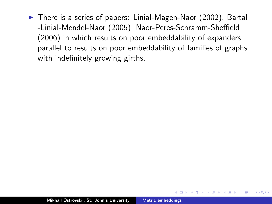$\triangleright$  There is a series of papers: Linial-Magen-Naor (2002), Bartal -Linial-Mendel-Naor (2005), Naor-Peres-Schramm-Sheffield (2006) in which results on poor embeddability of expanders parallel to results on poor embeddability of families of graphs with indefinitely growing girths.

 $\Omega$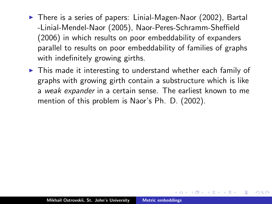- ▶ There is a series of papers: Linial-Magen-Naor (2002), Bartal -Linial-Mendel-Naor (2005), Naor-Peres-Schramm-Sheffield (2006) in which results on poor embeddability of expanders parallel to results on poor embeddability of families of graphs with indefinitely growing girths.
- $\triangleright$  This made it interesting to understand whether each family of graphs with growing girth contain a substructure which is like a weak expander in a certain sense. The earliest known to me mention of this problem is Naor's Ph. D. (2002).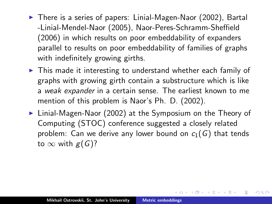- ▶ There is a series of papers: Linial-Magen-Naor (2002), Bartal -Linial-Mendel-Naor (2005), Naor-Peres-Schramm-Sheffield (2006) in which results on poor embeddability of expanders parallel to results on poor embeddability of families of graphs with indefinitely growing girths.
- $\triangleright$  This made it interesting to understand whether each family of graphs with growing girth contain a substructure which is like a weak expander in a certain sense. The earliest known to me mention of this problem is Naor's Ph. D. (2002).
- $\triangleright$  Linial-Magen-Naor (2002) at the Symposium on the Theory of Computing (STOC) conference suggested a closely related problem: Can we derive any lower bound on  $c_1(G)$  that tends to  $\infty$  with  $g(G)$ ?

→ 伊 ▶ → ヨ ▶ → ヨ ▶

 $2Q$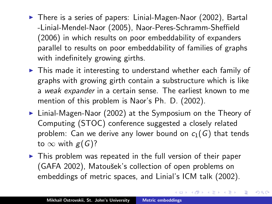- ▶ There is a series of papers: Linial-Magen-Naor (2002), Bartal -Linial-Mendel-Naor (2005), Naor-Peres-Schramm-Sheffield (2006) in which results on poor embeddability of expanders parallel to results on poor embeddability of families of graphs with indefinitely growing girths.
- $\triangleright$  This made it interesting to understand whether each family of graphs with growing girth contain a substructure which is like a weak expander in a certain sense. The earliest known to me mention of this problem is Naor's Ph. D. (2002).
- $\triangleright$  Linial-Magen-Naor (2002) at the Symposium on the Theory of Computing (STOC) conference suggested a closely related problem: Can we derive any lower bound on  $c_1(G)$  that tends to  $\infty$  with  $g(G)$ ?
- $\triangleright$  This problem was repeated in the full version of their paper (GAFA 2002), Matoušek's collection of open problems on embeddings of metric spaces, and Linial's ICM talk (2002).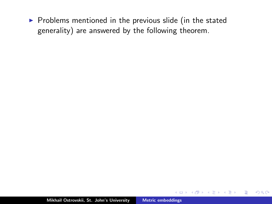$\triangleright$  Problems mentioned in the previous slide (in the stated generality) are answered by the following theorem.

 $\leftarrow$   $\Box$ 

AT H

 $\leftarrow$   $\equiv$ 

 $2Q$ 

扂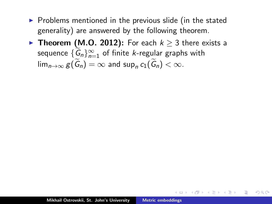- $\triangleright$  Problems mentioned in the previous slide (in the stated generality) are answered by the following theorem.
- ▶ Theorem (M.O. 2012): For each  $k \geq 3$  there exists a sequence  $\{G_n\}_{n=1}^{\infty}$  of finite *k*-regular graphs with  $\lim_{n\to\infty} g(G_n) = \infty$  and  $\sup_n c_1(G_n) < \infty$ .

イタン イラン イラン

唾

 $\Omega$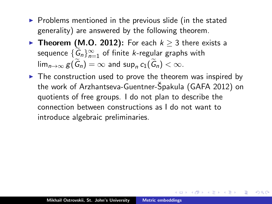- $\triangleright$  Problems mentioned in the previous slide (in the stated generality) are answered by the following theorem.
- ▶ Theorem (M.O. 2012): For each  $k \geq 3$  there exists a sequence  $\{G_n\}_{n=1}^{\infty}$  of finite *k*-regular graphs with  $\lim_{n\to\infty} g(G_n) = \infty$  and  $\sup_n c_1(G_n) < \infty$ .
- $\blacktriangleright$  The construction used to prove the theorem was inspired by the work of Arzhantseva-Guentner-Špakula (GAFA 2012) on quotients of free groups. I do not plan to describe the connection between constructions as I do not want to introduce algebraic preliminaries.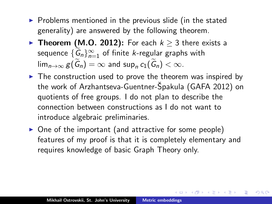- $\triangleright$  Problems mentioned in the previous slide (in the stated generality) are answered by the following theorem.
- ▶ Theorem (M.O. 2012): For each  $k \geq 3$  there exists a sequence  $\{G_n\}_{n=1}^{\infty}$  of finite *k*-regular graphs with  $\lim_{n\to\infty} g(G_n) = \infty$  and  $\sup_n c_1(G_n) < \infty$ .
- $\blacktriangleright$  The construction used to prove the theorem was inspired by the work of Arzhantseva-Guentner-Špakula (GAFA 2012) on quotients of free groups. I do not plan to describe the connection between constructions as I do not want to introduce algebraic preliminaries.
- $\triangleright$  One of the important (and attractive for some people) features of my proof is that it is completely elementary and requires knowledge of basic Graph Theory only.

→ 伊 ▶ → ヨ ▶ → ヨ ▶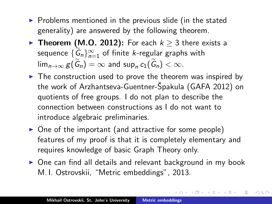- $\triangleright$  Problems mentioned in the previous slide (in the stated generality) are answered by the following theorem.
- ▶ Theorem (M.O. 2012): For each  $k \geq 3$  there exists a sequence  $\{G_n\}_{n=1}^{\infty}$  of finite *k*-regular graphs with  $\lim_{n\to\infty} g(G_n) = \infty$  and  $\sup_n c_1(G_n) < \infty$ .
- $\triangleright$  The construction used to prove the theorem was inspired by the work of Arzhantseva-Guentner-Špakula (GAFA 2012) on quotients of free groups. I do not plan to describe the connection between constructions as I do not want to introduce algebraic preliminaries.
- $\triangleright$  One of the important (and attractive for some people) features of my proof is that it is completely elementary and requires knowledge of basic Graph Theory only.
- $\triangleright$  One can find all details and relevant background in my book M. I. Ostrovskii, "Metric embeddings", 2013.

メタメ メミメ メミメー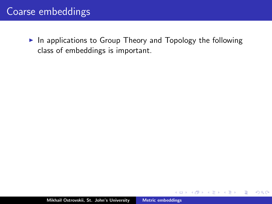## Coarse embeddings

 $\blacktriangleright$  In applications to Group Theory and Topology the following class of embeddings is important.

 $\leftarrow$   $\Box$ 

A.

 $2Q$ 

扂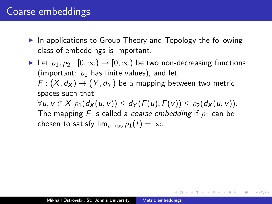## Coarse embeddings

- $\blacktriangleright$  In applications to Group Theory and Topology the following class of embeddings is important.
- In Let  $\rho_1, \rho_2 : [0, \infty) \to [0, \infty)$  be two non-decreasing functions (important:  $\rho_2$  has finite values), and let  $F: (X, d_X) \to (Y, d_Y)$  be a mapping between two metric spaces such that  $\forall u, v \in X$   $\rho_1(d_X(u, v)) \leq d_Y(F(u), F(v)) \leq \rho_2(d_X(u, v)).$ The mapping F is called a *coarse embedding* if  $\rho_1$  can be chosen to satisfy  $\lim_{t\to\infty} \rho_1(t) = \infty$ .

K ロ ▶ K 個 ▶ K 差 ▶ K 差 ▶ ...

つくい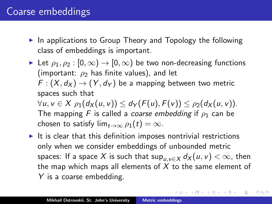## Coarse embeddings

- $\blacktriangleright$  In applications to Group Theory and Topology the following class of embeddings is important.
- In Let  $\rho_1, \rho_2 : [0, \infty) \to [0, \infty)$  be two non-decreasing functions (important:  $\rho_2$  has finite values), and let  $F: (X, d_X) \to (Y, d_Y)$  be a mapping between two metric spaces such that  $\forall u, v \in X$   $\rho_1(d_X(u, v)) \leq d_Y(F(u), F(v)) \leq \rho_2(d_X(u, v)).$ The mapping F is called a coarse embedding if  $\rho_1$  can be chosen to satisfy  $\lim_{t\to\infty} \rho_1(t) = \infty$ .
- $\blacktriangleright$  It is clear that this definition imposes nontrivial restrictions only when we consider embeddings of unbounded metric spaces: If a space X is such that  $\sup_{u \in X} d_X(u, v) < \infty$ , then the map which maps all elements of  $X$  to the same element of Y is a coarse embedding.

イロメ イ団メ イモメ イモメー 毛

つくい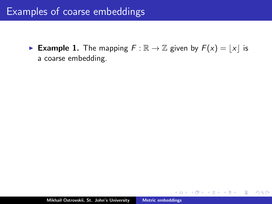► Example 1. The mapping  $F : \mathbb{R} \to \mathbb{Z}$  given by  $F(x) = |x|$  is a coarse embedding.

a mills.

重

∢ 倒 ≯ ∢ ミ ≯ ∢ ミ ≯

 $2Q$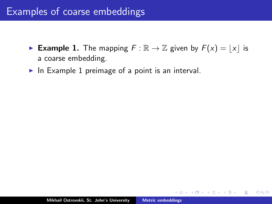- ► Example 1. The mapping  $F : \mathbb{R} \to \mathbb{Z}$  given by  $F(x) = |x|$  is a coarse embedding.
- In Example 1 preimage of a point is an interval.

 $4.17 \pm 1.0$ 

∢ 伊 ≯ 《 ヨ ≯

 $2Q$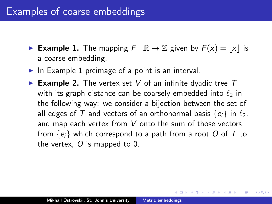- ► Example 1. The mapping  $F : \mathbb{R} \to \mathbb{Z}$  given by  $F(x) = |x|$  is a coarse embedding.
- In Example 1 preimage of a point is an interval.
- Example 2. The vertex set V of an infinite dyadic tree  $T$ with its graph distance can be coarsely embedded into  $\ell_2$  in the following way: we consider a bijection between the set of all edges of T and vectors of an orthonormal basis  $\{e_i\}$  in  $\ell_2$ , and map each vertex from V onto the sum of those vectors from  $\{e_i\}$  which correspond to a path from a root O of T to the vertex,  $\overline{O}$  is mapped to 0.

**Administration**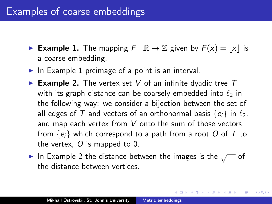- ► Example 1. The mapping  $F : \mathbb{R} \to \mathbb{Z}$  given by  $F(x) = |x|$  is a coarse embedding.
- In Example 1 preimage of a point is an interval.
- Example 2. The vertex set V of an infinite dyadic tree  $T$ with its graph distance can be coarsely embedded into  $\ell_2$  in the following way: we consider a bijection between the set of all edges of T and vectors of an orthonormal basis  $\{e_i\}$  in  $\ell_2$ , and map each vertex from V onto the sum of those vectors from  $\{e_i\}$  which correspond to a path from a root O of T to the vertex,  $\overline{O}$  is mapped to 0.
- ► In Example 2 the distance between the images is the  $\sqrt{\phantom{a}}$  of the distance between vertices.

K ロ ⊁ K 倒 ≯ K ミ ⊁ K ミ ≯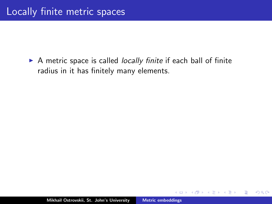$\triangleright$  A metric space is called *locally finite* if each ball of finite radius in it has finitely many elements.

a mills.

 $\Box$ 

 $2Q$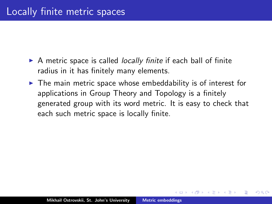- $\triangleright$  A metric space is called *locally finite* if each ball of finite radius in it has finitely many elements.
- $\blacktriangleright$  The main metric space whose embeddability is of interest for applications in Group Theory and Topology is a finitely generated group with its word metric. It is easy to check that each such metric space is locally finite.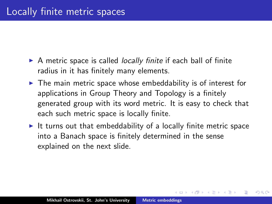- $\triangleright$  A metric space is called *locally finite* if each ball of finite radius in it has finitely many elements.
- $\blacktriangleright$  The main metric space whose embeddability is of interest for applications in Group Theory and Topology is a finitely generated group with its word metric. It is easy to check that each such metric space is locally finite.
- It turns out that embeddability of a locally finite metric space into a Banach space is finitely determined in the sense explained on the next slide.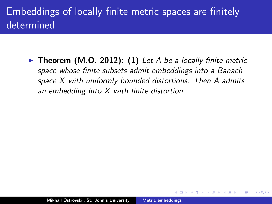# Embeddings of locally finite metric spaces are finitely determined

 $\triangleright$  Theorem (M.O. 2012): (1) Let A be a locally finite metric space whose finite subsets admit embeddings into a Banach space X with uniformly bounded distortions. Then A admits an embedding into  $X$  with finite distortion.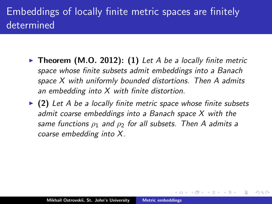# Embeddings of locally finite metric spaces are finitely determined

- $\triangleright$  Theorem (M.O. 2012): (1) Let A be a locally finite metric space whose finite subsets admit embeddings into a Banach space X with uniformly bounded distortions. Then A admits an embedding into  $X$  with finite distortion.
- $\triangleright$  (2) Let A be a locally finite metric space whose finite subsets admit coarse embeddings into a Banach space X with the same functions  $\rho_1$  and  $\rho_2$  for all subsets. Then A admits a coarse embedding into X.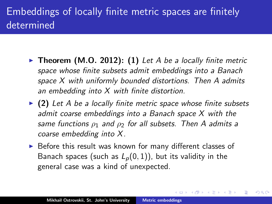# Embeddings of locally finite metric spaces are finitely determined

- $\triangleright$  Theorem (M.O. 2012): (1) Let A be a locally finite metric space whose finite subsets admit embeddings into a Banach space X with uniformly bounded distortions. Then A admits an embedding into X with finite distortion.
- $\triangleright$  (2) Let A be a locally finite metric space whose finite subsets admit coarse embeddings into a Banach space X with the same functions  $\rho_1$  and  $\rho_2$  for all subsets. Then A admits a coarse embedding into X.
- $\triangleright$  Before this result was known for many different classes of Banach spaces (such as  $L_p(0, 1)$ ), but its validity in the general case was a kind of unexpected.

→ イ団 ト イ ヨ ト イ ヨ ト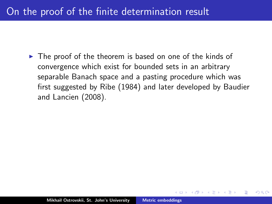## On the proof of the finite determination result

 $\triangleright$  The proof of the theorem is based on one of the kinds of convergence which exist for bounded sets in an arbitrary separable Banach space and a pasting procedure which was first suggested by Ribe (1984) and later developed by Baudier and Lancien (2008).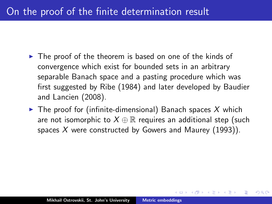## On the proof of the finite determination result

- $\triangleright$  The proof of the theorem is based on one of the kinds of convergence which exist for bounded sets in an arbitrary separable Banach space and a pasting procedure which was first suggested by Ribe (1984) and later developed by Baudier and Lancien (2008).
- $\blacktriangleright$  The proof for (infinite-dimensional) Banach spaces X which are not isomorphic to  $X \oplus \mathbb{R}$  requires an additional step (such spaces X were constructed by Gowers and Maurey (1993)).

∽≏ດ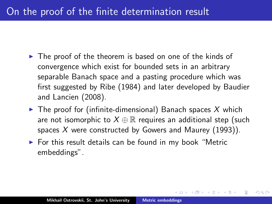## On the proof of the finite determination result

- $\triangleright$  The proof of the theorem is based on one of the kinds of convergence which exist for bounded sets in an arbitrary separable Banach space and a pasting procedure which was first suggested by Ribe (1984) and later developed by Baudier and Lancien (2008).
- $\blacktriangleright$  The proof for (infinite-dimensional) Banach spaces X which are not isomorphic to  $X \oplus \mathbb{R}$  requires an additional step (such spaces X were constructed by Gowers and Maurey (1993)).

へのへ

 $\triangleright$  For this result details can be found in my book "Metric embeddings".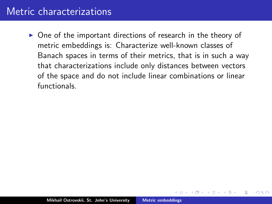### Metric characterizations

 $\triangleright$  One of the important directions of research in the theory of metric embeddings is: Characterize well-known classes of Banach spaces in terms of their metrics, that is in such a way that characterizations include only distances between vectors of the space and do not include linear combinations or linear functionals.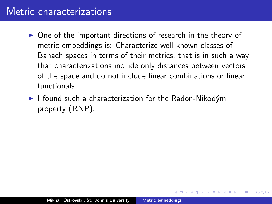### Metric characterizations

- $\triangleright$  One of the important directions of research in the theory of metric embeddings is: Characterize well-known classes of Banach spaces in terms of their metrics, that is in such a way that characterizations include only distances between vectors of the space and do not include linear combinations or linear functionals.
- $\blacktriangleright$  I found such a characterization for the Radon-Nikodým property (RNP).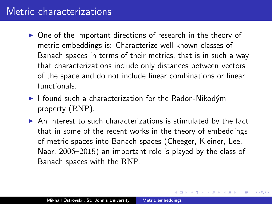### Metric characterizations

- $\triangleright$  One of the important directions of research in the theory of metric embeddings is: Characterize well-known classes of Banach spaces in terms of their metrics, that is in such a way that characterizations include only distances between vectors of the space and do not include linear combinations or linear functionals.
- $\blacktriangleright$  I found such a characterization for the Radon-Nikodým property (RNP).
- $\triangleright$  An interest to such characterizations is stimulated by the fact that in some of the recent works in the theory of embeddings of metric spaces into Banach spaces (Cheeger, Kleiner, Lee, Naor, 2006–2015) an important role is played by the class of Banach spaces with the RNP.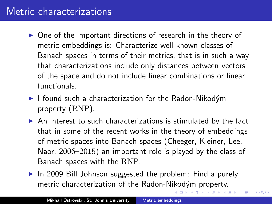## Metric characterizations

- $\triangleright$  One of the important directions of research in the theory of metric embeddings is: Characterize well-known classes of Banach spaces in terms of their metrics, that is in such a way that characterizations include only distances between vectors of the space and do not include linear combinations or linear functionals.
- $\blacktriangleright$  I found such a characterization for the Radon-Nikodým property (RNP).
- $\triangleright$  An interest to such characterizations is stimulated by the fact that in some of the recent works in the theory of embeddings of metric spaces into Banach spaces (Cheeger, Kleiner, Lee, Naor, 2006–2015) an important role is played by the class of Banach spaces with the RNP.
- $\triangleright$  In 2009 Bill Johnson suggested the problem: Find a purely metric characterization of the Radon-Nikodým property.

つくい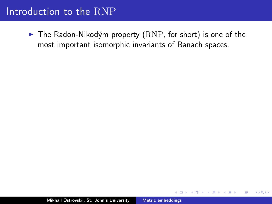$\blacktriangleright$  The Radon-Nikodým property (RNP, for short) is one of the most important isomorphic invariants of Banach spaces.

 $\leftarrow$   $\Box$ 

 $2Q$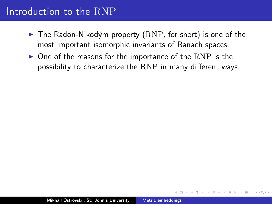- $\triangleright$  The Radon-Nikodým property (RNP, for short) is one of the most important isomorphic invariants of Banach spaces.
- $\triangleright$  One of the reasons for the importance of the RNP is the possibility to characterize the RNP in many different ways.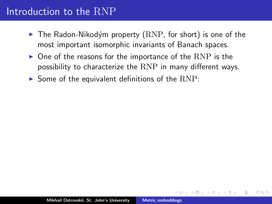- $\triangleright$  The Radon-Nikodým property (RNP, for short) is one of the most important isomorphic invariants of Banach spaces.
- $\triangleright$  One of the reasons for the importance of the RNP is the possibility to characterize the RNP in many different ways.
- $\triangleright$  Some of the equivalent definitions of the  $RNP$ :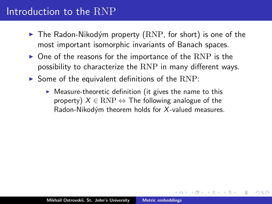- $\blacktriangleright$  The Radon-Nikodým property (RNP, for short) is one of the most important isomorphic invariants of Banach spaces.
- $\triangleright$  One of the reasons for the importance of the RNP is the possibility to characterize the RNP in many different ways.
- $\triangleright$  Some of the equivalent definitions of the  $RNP$ :
	- $\triangleright$  Measure-theoretic definition (it gives the name to this property)  $X \in \text{RNP} \Leftrightarrow$  The following analogue of the Radon-Nikodým theorem holds for  $X$ -valued measures.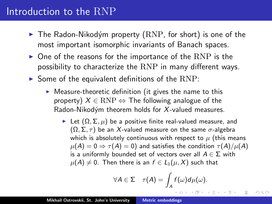- $\triangleright$  The Radon-Nikodým property (RNP, for short) is one of the most important isomorphic invariants of Banach spaces.
- $\triangleright$  One of the reasons for the importance of the RNP is the possibility to characterize the RNP in many different ways.
- $\triangleright$  Some of the equivalent definitions of the  $RNP$ :
	- $\triangleright$  Measure-theoretic definition (it gives the name to this property)  $X \in \text{RNP} \Leftrightarrow$  The following analogue of the Radon-Nikodým theorem holds for  $X$ -valued measures.
		- **IDE** Let  $(Ω, Σ, μ)$  be a positive finite real-valued measure, and  $(\Omega, \Sigma, \tau)$  be an X-valued measure on the same  $\sigma$ -algebra which is absolutely continuous with respect to  $\mu$  (this means  $\mu(A) = 0 \Rightarrow \tau(A) = 0$ ) and satisfies the condition  $\tau(A)/\mu(A)$ is a uniformly bounded set of vectors over all  $A \in \Sigma$  with  $\mu(A) \neq 0$ . Then there is an  $f \in L_1(\mu, X)$  such that

$$
\forall A \in \Sigma \quad \tau(A) = \int_A f(\omega) d\mu(\omega).
$$

メロメ メ御 メメ ミメ メミメ

つくい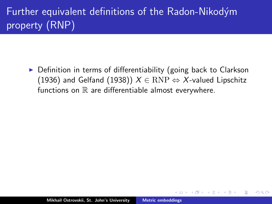$\triangleright$  Definition in terms of differentiability (going back to Clarkson (1936) and Gelfand (1938))  $X \in RNP \Leftrightarrow X$ -valued Lipschitz functions on  $\mathbb R$  are differentiable almost everywhere.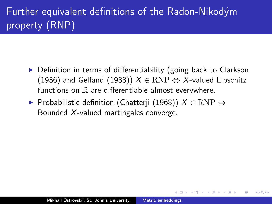$\triangleright$  Definition in terms of differentiability (going back to Clarkson (1936) and Gelfand (1938))  $X \in RNP \Leftrightarrow X$ -valued Lipschitz functions on  $\mathbb R$  are differentiable almost everywhere.

へのへ

 $\triangleright$  Probabilistic definition (Chatterji (1968))  $X \in \text{RNP} \Leftrightarrow$ Bounded X-valued martingales converge.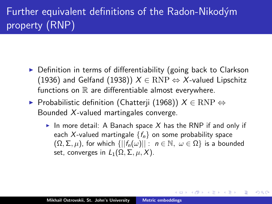- $\triangleright$  Definition in terms of differentiability (going back to Clarkson (1936) and Gelfand (1938))  $X \in RNP \Leftrightarrow X$ -valued Lipschitz functions on  $\mathbb R$  are differentiable almost everywhere.
- $\blacktriangleright$  Probabilistic definition (Chatterji (1968))  $X \in \text{RNP} \Leftrightarrow$ Bounded X-valued martingales converge.
	- In more detail: A Banach space X has the RNP if and only if each X-valued martingale  $\{f_n\}$  on some probability space  $(\Omega, \Sigma, \mu)$ , for which  $\{||f_n(\omega)||: n \in \mathbb{N}, \omega \in \Omega\}$  is a bounded set, converges in  $L_1(\Omega, \Sigma, \mu, X)$ .

K 倒 ≯ (K ) → (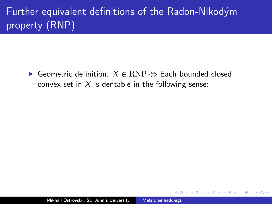$\triangleright$  Geometric definition.  $X \in \text{RNP} \Leftrightarrow$  Each bounded closed convex set in  $X$  is dentable in the following sense:

 $\Omega$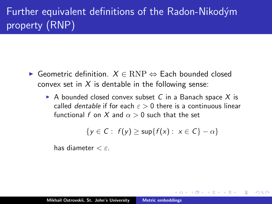- $\triangleright$  Geometric definition.  $X \in \text{RNP} \Leftrightarrow$  Each bounded closed convex set in  $X$  is dentable in the following sense:
	- A bounded closed convex subset C in a Banach space X is called *dentable* if for each  $\varepsilon > 0$  there is a continuous linear functional f on X and  $\alpha > 0$  such that the set

$$
\{y \in C: f(y) \ge \sup\{f(x): x \in C\} - \alpha\}
$$

へのへ

has diameter  $\lt \varepsilon$ .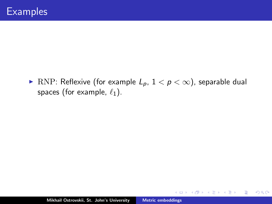▶ RNP: Reflexive (for example  $L_p$ ,  $1 < p < \infty$ ), separable dual spaces (for example,  $\ell_1$ ).

 $4.171 +$ 

∢ 伊 ≯ ∢ 唐 ≯

重

- 4 店 ト

 $2Q$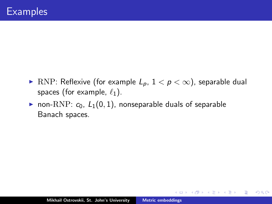▶ RNP: Reflexive (for example  $L_p$ ,  $1 < p < \infty$ ), separable dual spaces (for example,  $\ell_1$ ).

 $4.171 +$ 

4 A 6 4 F 6

4. E. K

扂

 $2Q$ 

• non-RNP:  $c_0$ ,  $L_1(0, 1)$ , nonseparable duals of separable Banach spaces.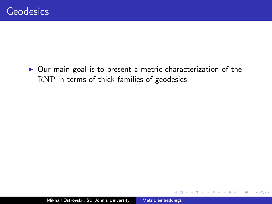$\triangleright$  Our main goal is to present a metric characterization of the RNP in terms of thick families of geodesics.

 $4.171 +$ 

 $\Box$ 

重

€

 $2Q$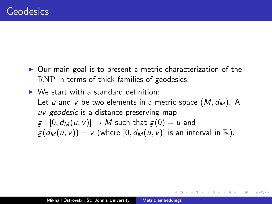- $\triangleright$  Our main goal is to present a metric characterization of the RNP in terms of thick families of geodesics.
- $\triangleright$  We start with a standard definition: Let u and v be two elements in a metric space  $(M, d_M)$ . A uv -geodesic is a distance-preserving map  $g : [0, d_M(u, v)] \rightarrow M$  such that  $g(0) = u$  and  $g(d_M(u, v)) = v$  (where [0,  $d_M(u, v)$ ] is an interval in R).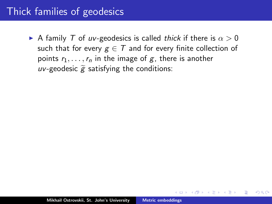A family T of uv-geodesics is called thick if there is  $\alpha > 0$ such that for every  $g \in T$  and for every finite collection of points  $r_1, \ldots, r_n$  in the image of g, there is another uv-geodesic  $\widetilde{g}$  satisfying the conditions: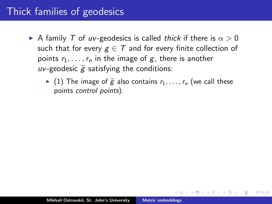- A family T of uv-geodesics is called thick if there is  $\alpha > 0$ such that for every  $g \in T$  and for every finite collection of points  $r_1, \ldots, r_n$  in the image of g, there is another uv-geodesic  $\widetilde{g}$  satisfying the conditions:
	- $\blacktriangleright$  (1) The image of  $\widetilde{g}$  also contains  $r_1, \ldots, r_n$  (we call these points control points).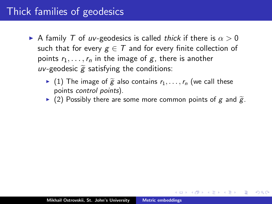- A family T of uv-geodesics is called thick if there is  $\alpha > 0$ such that for every  $g \in T$  and for every finite collection of points  $r_1, \ldots, r_n$  in the image of g, there is another uv-geodesic  $\widetilde{g}$  satisfying the conditions:
	- $\blacktriangleright$  (1) The image of  $\widetilde{g}$  also contains  $r_1, \ldots, r_n$  (we call these points control points).
	- $\triangleright$  (2) Possibly there are some more common points of g and  $\widetilde{g}$ .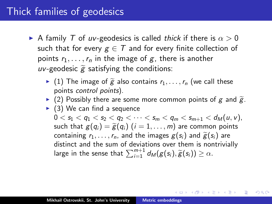- A family T of uv-geodesics is called thick if there is  $\alpha > 0$ such that for every  $g \in T$  and for every finite collection of points  $r_1, \ldots, r_n$  in the image of g, there is another uv-geodesic  $\widetilde{g}$  satisfying the conditions:
	- $\blacktriangleright$  (1) The image of  $\widetilde{g}$  also contains  $r_1, \ldots, r_n$  (we call these points control points).
	- $\triangleright$  (2) Possibly there are some more common points of g and  $\widetilde{g}$ .
	- $\triangleright$  (3) We can find a sequence  $0 < s_1 < q_1 < s_2 < q_2 < \cdots < s_m < q_m < s_{m+1} < d_M(u, v)$ , such that  $g(q_i) = \tilde{g}(q_i)$   $(i = 1, \ldots, m)$  are common points containing  $r_1, \ldots, r_n$ , and the images  $g(s_i)$  and  $\widetilde{g}(s_i)$  are distinct and the sum of deviations over them is nontrivially large in the sense that  $\sum_{i=1}^{m+1} d_{\mathcal{M}}(g(s_i), \widetilde{g}(s_i)) \geq \alpha$ .

K ロ ▶ K 御 ▶ K 君 ▶ K 君 ▶ ...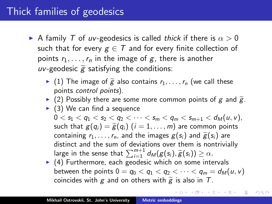- A family T of uv-geodesics is called thick if there is  $\alpha > 0$ such that for every  $g \in T$  and for every finite collection of points  $r_1, \ldots, r_n$  in the image of g, there is another uv-geodesic  $\widetilde{g}$  satisfying the conditions:
	- $\blacktriangleright$  (1) The image of  $\widetilde{g}$  also contains  $r_1, \ldots, r_n$  (we call these points control points).
	- $\triangleright$  (2) Possibly there are some more common points of g and  $\widetilde{g}$ .
	- $\triangleright$  (3) We can find a sequence  $0 < s_1 < q_1 < s_2 < q_2 < \cdots < s_m < q_m < s_{m+1} < d_M(u, v)$ , such that  $g(q_i) = \tilde{g}(q_i)$   $(i = 1, \ldots, m)$  are common points containing  $r_1, \ldots, r_n$ , and the images  $g(s_i)$  and  $\widetilde{g}(s_i)$  are distinct and the sum of deviations over them is nontrivially large in the sense that  $\sum_{i=1}^{m+1} d_M(g(s_i), \widetilde{g}(s_i)) \geq \alpha$ .<br>(4) Eurthermore, each goodscie which on some integration
	- $\blacktriangleright$  (4) Furthermore, each geodesic which on some intervals between the points  $0 = q_0 < q_1 < q_2 < \cdots < q_m = d_M(u, v)$ coincides with g and on others with  $\tilde{g}$  is also in T.

メ御 トメ ヨ トメ ヨ ト

つくい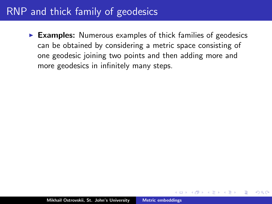$\triangleright$  Examples: Numerous examples of thick families of geodesics can be obtained by considering a metric space consisting of one geodesic joining two points and then adding more and more geodesics in infinitely many steps.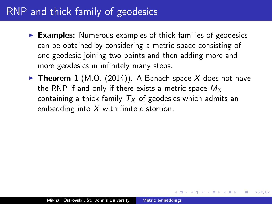- $\triangleright$  Examples: Numerous examples of thick families of geodesics can be obtained by considering a metric space consisting of one geodesic joining two points and then adding more and more geodesics in infinitely many steps.
- **Theorem 1** (M.O. (2014)). A Banach space X does not have the RNP if and only if there exists a metric space  $M_X$ containing a thick family  $T_x$  of geodesics which admits an embedding into  $X$  with finite distortion.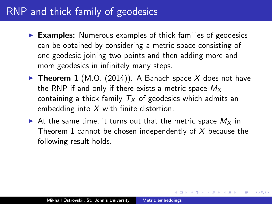- $\triangleright$  Examples: Numerous examples of thick families of geodesics can be obtained by considering a metric space consisting of one geodesic joining two points and then adding more and more geodesics in infinitely many steps.
- **Theorem 1** (M.O. (2014)). A Banach space X does not have the RNP if and only if there exists a metric space  $M_X$ containing a thick family  $T_x$  of geodesics which admits an embedding into  $X$  with finite distortion.
- At the same time, it turns out that the metric space  $M_X$  in Theorem 1 cannot be chosen independently of  $X$  because the following result holds.